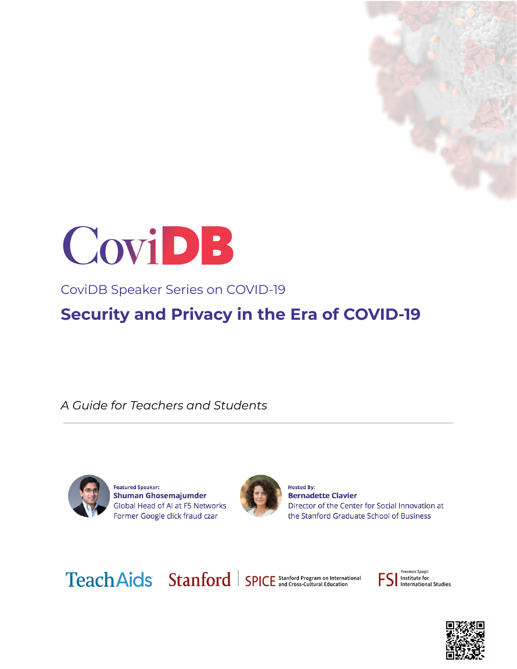



# CoviDB Speaker Series on COVID-19

# **Security and Privacy in the Era of COVID-19**

*A Guide for Teachers and Students*



**Featured Speaker: Shuman Ghosemajumder** Global Head of AI at F5 Networks Former Google click fraud czar



**Hosted By: Bernadette Clavier** Director of the Center for Social Innovation at the Stanford Graduate School of Business

Teach Aids Stanford | SPICE Stanford Program on International

Freeman Spogli Institute for **International Studies** 

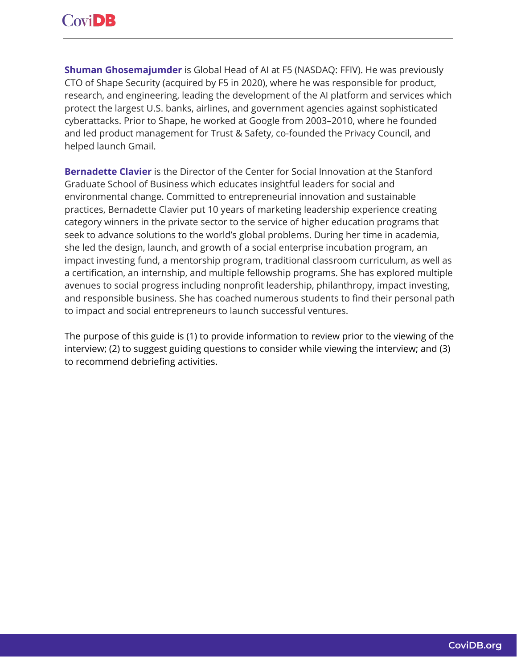**Shuman Ghosemajumder** is Global Head of AI at F5 (NASDAQ: FFIV). He was previously CTO of Shape Security (acquired by F5 in 2020), where he was responsible for product, research, and engineering, leading the development of the AI platform and services which protect the largest U.S. banks, airlines, and government agencies against sophisticated cyberattacks. Prior to Shape, he worked at Google from 2003–2010, where he founded and led product management for Trust & Safety, co-founded the Privacy Council, and helped launch Gmail.

**Bernadette Clavier** is the Director of the Center for Social Innovation at the Stanford Graduate School of Business which educates insightful leaders for social and environmental change. Committed to entrepreneurial innovation and sustainable practices, Bernadette Clavier put 10 years of marketing leadership experience creating category winners in the private sector to the service of higher education programs that seek to advance solutions to the world's global problems. During her time in academia, she led the design, launch, and growth of a social enterprise incubation program, an impact investing fund, a mentorship program, traditional classroom curriculum, as well as a certification, an internship, and multiple fellowship programs. She has explored multiple avenues to social progress including nonprofit leadership, philanthropy, impact investing, and responsible business. She has coached numerous students to find their personal path to impact and social entrepreneurs to launch successful ventures.

The purpose of this guide is (1) to provide information to review prior to the viewing of the interview; (2) to suggest guiding questions to consider while viewing the interview; and (3) to recommend debriefing activities.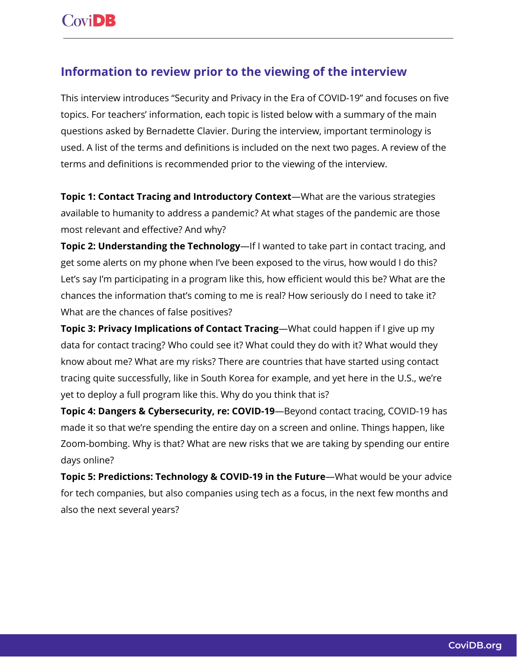### **Information to review prior to the viewing of the interview**

This interview introduces "Security and Privacy in the Era of COVID-19" and focuses on five topics. For teachers' information, each topic is listed below with a summary of the main questions asked by Bernadette Clavier. During the interview, important terminology is used. A list of the terms and definitions is included on the next two pages. A review of the terms and definitions is recommended prior to the viewing of the interview.

**Topic 1: Contact Tracing and Introductory Context**—What are the various strategies available to humanity to address a pandemic? At what stages of the pandemic are those most relevant and effective? And why?

**Topic 2: Understanding the Technology**—If I wanted to take part in contact tracing, and get some alerts on my phone when I've been exposed to the virus, how would I do this? Let's say I'm participating in a program like this, how efficient would this be? What are the chances the information that's coming to me is real? How seriously do I need to take it? What are the chances of false positives?

**Topic 3: Privacy Implications of Contact Tracing**—What could happen if I give up my data for contact tracing? Who could see it? What could they do with it? What would they know about me? What are my risks? There are countries that have started using contact tracing quite successfully, like in South Korea for example, and yet here in the U.S., we're yet to deploy a full program like this. Why do you think that is?

**Topic 4: Dangers & Cybersecurity, re: COVID-19**—Beyond contact tracing, COVID-19 has made it so that we're spending the entire day on a screen and online. Things happen, like Zoom-bombing. Why is that? What are new risks that we are taking by spending our entire days online?

**Topic 5: Predictions: Technology & COVID-19 in the Future**—What would be your advice for tech companies, but also companies using tech as a focus, in the next few months and also the next several years?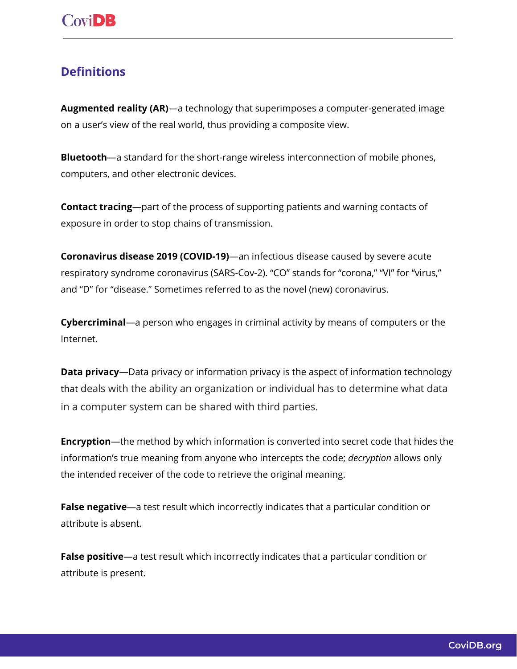## **Definitions**

**Augmented reality (AR)**—a technology that superimposes a computer-generated image on a user's view of the real world, thus providing a composite view.

**Bluetooth**—a standard for the short-range wireless interconnection of mobile phones, computers, and other electronic devices.

**Contact tracing**—part of the process of supporting patients and warning contacts of exposure in order to stop chains of transmission.

**Coronavirus disease 2019 (COVID-19)**—an infectious disease caused by severe acute respiratory syndrome coronavirus (SARS-Cov-2). "CO" stands for "corona," "VI" for "virus," and "D" for "disease." Sometimes referred to as the novel (new) coronavirus.

**Cybercriminal**—a person who engages in criminal activity by means of computers or the Internet.

**Data privacy**—Data privacy or information privacy is the aspect of information technology that deals with the ability an organization or individual has to determine what data in a computer system can be shared with third parties.

**Encryption**—the method by which information is converted into secret code that hides the information's true meaning from anyone who intercepts the code; *decryption* allows only the intended receiver of the code to retrieve the original meaning.

**False negative**—a test result which incorrectly indicates that a particular condition or attribute is absent.

**False positive**—a test result which incorrectly indicates that a particular condition or attribute is present.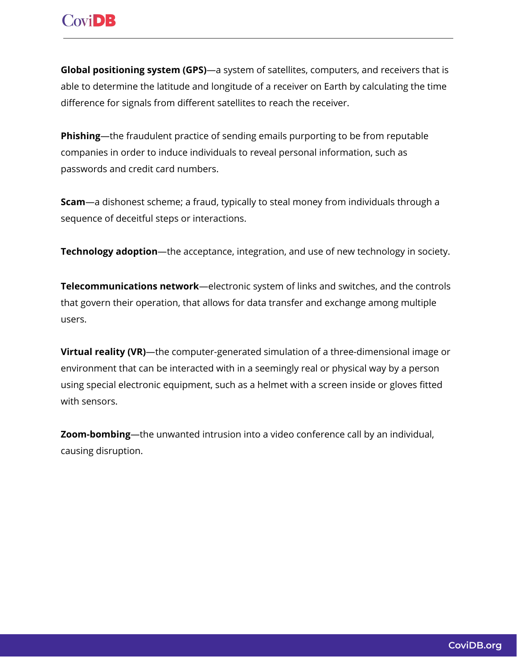# **CoviDB**

**Global positioning system (GPS)**—a system of satellites, computers, and receivers that is able to determine the latitude and longitude of a receiver on Earth by calculating the time difference for signals from different satellites to reach the receiver.

**Phishing**—the fraudulent practice of sending emails purporting to be from reputable companies in order to induce individuals to reveal personal information, such as passwords and credit card numbers.

**Scam**—a dishonest scheme; a fraud, typically to steal money from individuals through a sequence of deceitful steps or interactions.

**Technology adoption**—the acceptance, integration, and use of new technology in society.

**Telecommunications network**—electronic system of links and switches, and the controls that govern their operation, that allows for data transfer and exchange among multiple users.

**Virtual reality (VR)**—the computer-generated simulation of a three-dimensional image or environment that can be interacted with in a seemingly real or physical way by a person using special electronic equipment, such as a helmet with a screen inside or gloves fitted with sensors.

**Zoom-bombing**—the unwanted intrusion into a video conference call by an individual, causing disruption.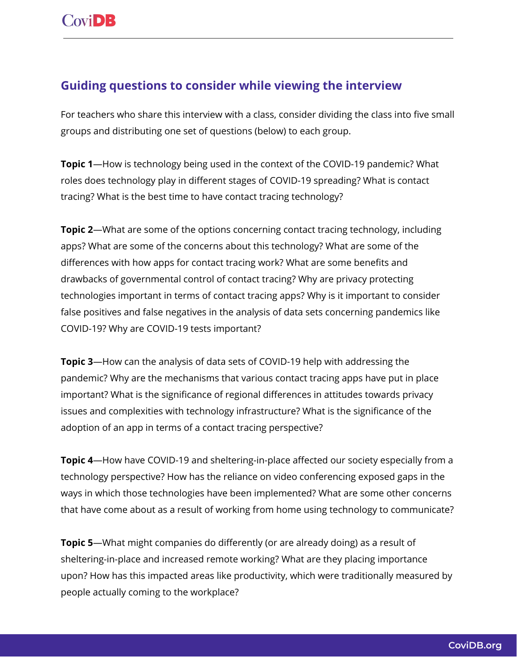### **Guiding questions to consider while viewing the interview**

For teachers who share this interview with a class, consider dividing the class into five small groups and distributing one set of questions (below) to each group.

**Topic 1**—How is technology being used in the context of the COVID-19 pandemic? What roles does technology play in different stages of COVID-19 spreading? What is contact tracing? What is the best time to have contact tracing technology?

**Topic 2**—What are some of the options concerning contact tracing technology, including apps? What are some of the concerns about this technology? What are some of the differences with how apps for contact tracing work? What are some benefits and drawbacks of governmental control of contact tracing? Why are privacy protecting technologies important in terms of contact tracing apps? Why is it important to consider false positives and false negatives in the analysis of data sets concerning pandemics like COVID-19? Why are COVID-19 tests important?

**Topic 3**—How can the analysis of data sets of COVID-19 help with addressing the pandemic? Why are the mechanisms that various contact tracing apps have put in place important? What is the significance of regional differences in attitudes towards privacy issues and complexities with technology infrastructure? What is the significance of the adoption of an app in terms of a contact tracing perspective?

**Topic 4**—How have COVID-19 and sheltering-in-place affected our society especially from a technology perspective? How has the reliance on video conferencing exposed gaps in the ways in which those technologies have been implemented? What are some other concerns that have come about as a result of working from home using technology to communicate?

**Topic 5**—What might companies do differently (or are already doing) as a result of sheltering-in-place and increased remote working? What are they placing importance upon? How has this impacted areas like productivity, which were traditionally measured by people actually coming to the workplace?